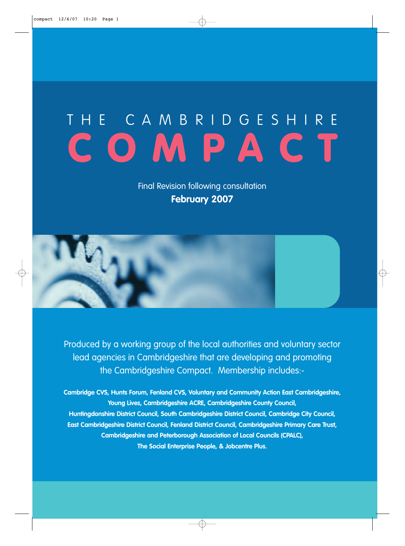Final Revision following consultation **February 2007**

Produced by a working group of the local authorities and voluntary sector lead agencies in Cambridgeshire that are developing and promoting the Cambridgeshire Compact. Membership includes:-

**Cambridge CVS, Hunts Forum, Fenland CVS, Voluntary and Community Action East Cambridgeshire, Young Lives, Cambridgeshire ACRE, Cambridgeshire County Council, Huntingdonshire District Council, South Cambridgeshire District Council, Cambridge City Council, East Cambridgeshire District Council, Fenland District Council, Cambridgeshire Primary Care Trust, Cambridgeshire and Peterborough Association of Local Councils (CPALC), The Social Enterprise People, & Jobcentre Plus.**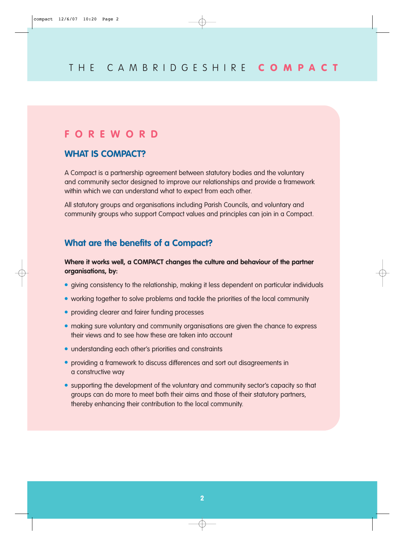## **FOREWORD**

## **WHAT IS COMPACT?**

A Compact is a partnership agreement between statutory bodies and the voluntary and community sector designed to improve our relationships and provide a framework within which we can understand what to expect from each other.

All statutory groups and organisations including Parish Councils, and voluntary and community groups who support Compact values and principles can join in a Compact.

## **What are the benefits of a Compact?**

#### **Where it works well, a COMPACT changes the culture and behaviour of the partner organisations, by:**

- giving consistency to the relationship, making it less dependent on particular individuals
- working together to solve problems and tackle the priorities of the local community
- providing clearer and fairer funding processes
- making sure voluntary and community organisations are given the chance to express their views and to see how these are taken into account
- understanding each other's priorities and constraints
- providing a framework to discuss differences and sort out disagreements in a constructive way
- supporting the development of the voluntary and community sector's capacity so that groups can do more to meet both their aims and those of their statutory partners, thereby enhancing their contribution to the local community.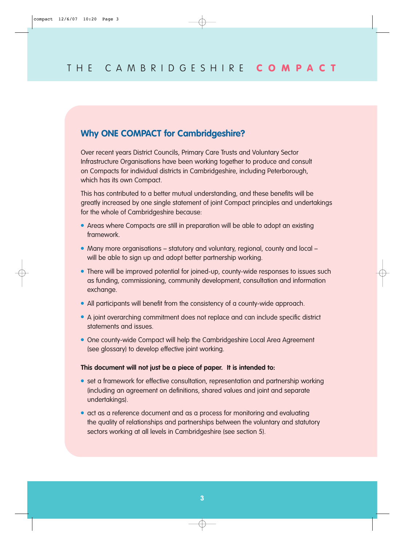#### **Why ONE COMPACT for Cambridgeshire?**

Over recent years District Councils, Primary Care Trusts and Voluntary Sector Infrastructure Organisations have been working together to produce and consult on Compacts for individual districts in Cambridgeshire, including Peterborough, which has its own Compact.

This has contributed to a better mutual understanding, and these benefits will be greatly increased by one single statement of joint Compact principles and undertakings for the whole of Cambridgeshire because:

- Areas where Compacts are still in preparation will be able to adopt an existing framework.
- Many more organisations statutory and voluntary, regional, county and local will be able to sign up and adopt better partnership working.
- There will be improved potential for joined-up, county-wide responses to issues such as funding, commissioning, community development, consultation and information exchange.
- All participants will benefit from the consistency of a county-wide approach.
- A joint overarching commitment does not replace and can include specific district statements and issues.
- One county-wide Compact will help the Cambridgeshire Local Area Agreement (see glossary) to develop effective joint working.

#### **This document will not just be a piece of paper. It is intended to:**

- set a framework for effective consultation, representation and partnership working (including an agreement on definitions, shared values and joint and separate undertakings).
- act as a reference document and as a process for monitoring and evaluating the quality of relationships and partnerships between the voluntary and statutory sectors working at all levels in Cambridgeshire (see section 5).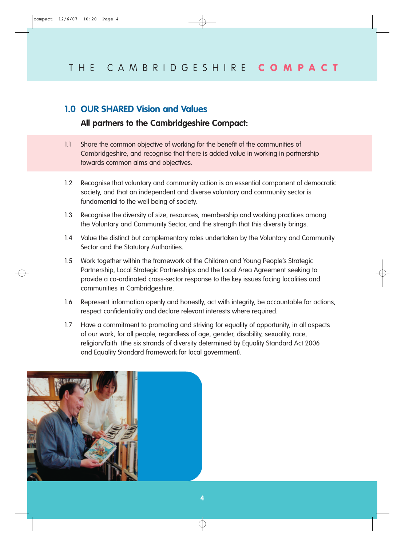#### **1.0 OUR SHARED Vision and Values**

#### **All partners to the Cambridgeshire Compact:**

- 1.1 Share the common objective of working for the benefit of the communities of Cambridgeshire, and recognise that there is added value in working in partnership towards common aims and objectives.
- 1.2 Recognise that voluntary and community action is an essential component of democratic society, and that an independent and diverse voluntary and community sector is fundamental to the well being of society.
- 1.3 Recognise the diversity of size, resources, membership and working practices among the Voluntary and Community Sector, and the strength that this diversity brings.
- 1.4 Value the distinct but complementary roles undertaken by the Voluntary and Community Sector and the Statutory Authorities.
- 1.5 Work together within the framework of the Children and Young People's Strategic Partnership, Local Strategic Partnerships and the Local Area Agreement seeking to provide a co-ordinated cross-sector response to the key issues facing localities and communities in Cambridgeshire.
- 1.6 Represent information openly and honestly, act with integrity, be accountable for actions, respect confidentiality and declare relevant interests where required.
- 1.7 Have a commitment to promoting and striving for equality of opportunity, in all aspects of our work, for all people, regardless of age, gender, disability, sexuality, race, religion/faith (the six strands of diversity determined by Equality Standard Act 2006 and Equality Standard framework for local government).

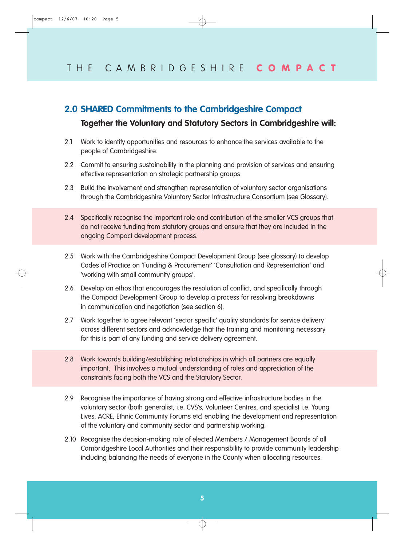## **2.0 SHARED Commitments to the Cambridgeshire Compact**

#### **Together the Voluntary and Statutory Sectors in Cambridgeshire will:**

- 2.1 Work to identify opportunities and resources to enhance the services available to the people of Cambridgeshire.
- 2.2 Commit to ensuring sustainability in the planning and provision of services and ensuring effective representation on strategic partnership groups.
- 2.3 Build the involvement and strengthen representation of voluntary sector organisations through the Cambridgeshire Voluntary Sector Infrastructure Consortium (see Glossary).
- 2.4 Specifically recognise the important role and contribution of the smaller VCS groups that do not receive funding from statutory groups and ensure that they are included in the ongoing Compact development process.
- 2.5 Work with the Cambridgeshire Compact Development Group (see glossary) to develop Codes of Practice on 'Funding & Procurement' 'Consultation and Representation' and 'working with small community groups'.
- 2.6 Develop an ethos that encourages the resolution of conflict, and specifically through the Compact Development Group to develop a process for resolving breakdowns in communication and negotiation (see section 6).
- 2.7 Work together to agree relevant 'sector specific' quality standards for service delivery across different sectors and acknowledge that the training and monitoring necessary for this is part of any funding and service delivery agreement.
- 2.8 Work towards building/establishing relationships in which all partners are equally important. This involves a mutual understanding of roles and appreciation of the constraints facing both the VCS and the Statutory Sector.
- 2.9 Recognise the importance of having strong and effective infrastructure bodies in the voluntary sector (both generalist, i.e. CVS's, Volunteer Centres, and specialist i.e. Young Lives, ACRE, Ethnic Community Forums etc) enabling the development and representation of the voluntary and community sector and partnership working.
- 2.10 Recognise the decision-making role of elected Members / Management Boards of all Cambridgeshire Local Authorities and their responsibility to provide community leadership including balancing the needs of everyone in the County when allocating resources.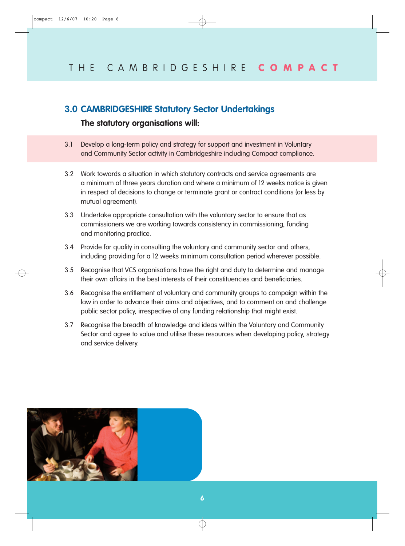#### **3.0 CAMBRIDGESHIRE Statutory Sector Undertakings**

#### **The statutory organisations will:**

- 3.1 Develop a long-term policy and strategy for support and investment in Voluntary and Community Sector activity in Cambridgeshire including Compact compliance.
- 3.2 Work towards a situation in which statutory contracts and service agreements are a minimum of three years duration and where a minimum of 12 weeks notice is given in respect of decisions to change or terminate grant or contract conditions (or less by mutual agreement).
- 3.3 Undertake appropriate consultation with the voluntary sector to ensure that as commissioners we are working towards consistency in commissioning, funding and monitoring practice.
- 3.4 Provide for quality in consulting the voluntary and community sector and others, including providing for a 12 weeks minimum consultation period wherever possible.
- 3.5 Recognise that VCS organisations have the right and duty to determine and manage their own affairs in the best interests of their constituencies and beneficiaries.
- 3.6 Recognise the entitlement of voluntary and community groups to campaign within the law in order to advance their aims and objectives, and to comment on and challenge public sector policy, irrespective of any funding relationship that might exist.
- 3.7 Recognise the breadth of knowledge and ideas within the Voluntary and Community Sector and agree to value and utilise these resources when developing policy, strategy and service delivery.

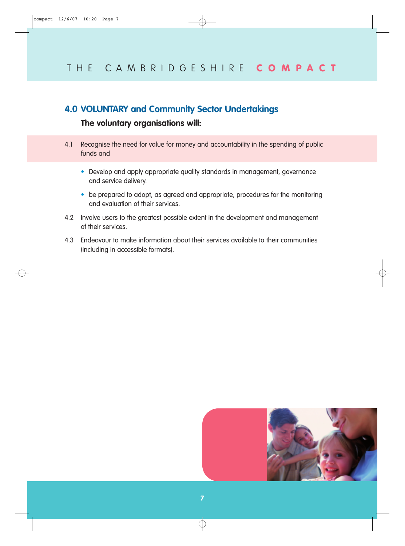## **4.0 VOLUNTARY and Community Sector Undertakings**

## **The voluntary organisations will:**

- 4.1 Recognise the need for value for money and accountability in the spending of public funds and
	- Develop and apply appropriate quality standards in management, governance and service delivery.
	- be prepared to adopt, as agreed and appropriate, procedures for the monitoring and evaluation of their services.
- 4.2 Involve users to the greatest possible extent in the development and management of their services.
- 4.3 Endeavour to make information about their services available to their communities (including in accessible formats).

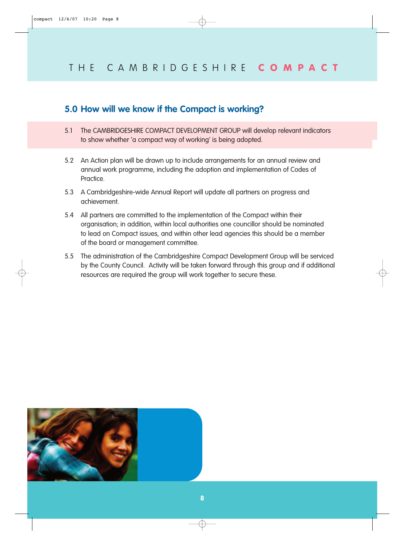## **5.0 How will we know if the Compact is working?**

- 5.1 The CAMBRIDGESHIRE COMPACT DEVELOPMENT GROUP will develop relevant indicators to show whether 'a compact way of working' is being adopted.
- 5.2 An Action plan will be drawn up to include arrangements for an annual review and annual work programme, including the adoption and implementation of Codes of Practice.
- 5.3 A Cambridgeshire-wide Annual Report will update all partners on progress and achievement.
- 5.4 All partners are committed to the implementation of the Compact within their organisation; in addition, within local authorities one councillor should be nominated to lead on Compact issues, and within other lead agencies this should be a member of the board or management committee.
- 5.5 The administration of the Cambridgeshire Compact Development Group will be serviced by the County Council. Activity will be taken forward through this group and if additional resources are required the group will work together to secure these.

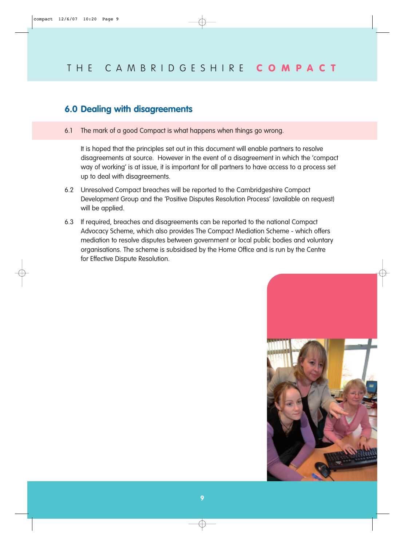## **6.0 Dealing with disagreements**

6.1 The mark of a good Compact is what happens when things go wrong.

It is hoped that the principles set out in this document will enable partners to resolve disagreements at source. However in the event of a disagreement in which the 'compact way of working' is at issue, it is important for all partners to have access to a process set up to deal with disagreements.

- 6.2 Unresolved Compact breaches will be reported to the Cambridgeshire Compact Development Group and the 'Positive Disputes Resolution Process' (available on request) will be applied.
- 6.3 If required, breaches and disagreements can be reported to the national Compact Advocacy Scheme, which also provides The Compact Mediation Scheme - which offers mediation to resolve disputes between government or local public bodies and voluntary organisations. The scheme is subsidised by the Home Office and is run by the Centre for Effective Dispute Resolution.

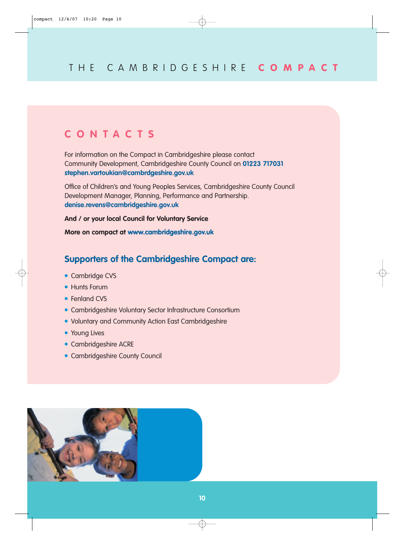## **CONTACTS**

For information on the Compact in Cambridgeshire please contact Community Development, Cambridgeshire County Council on **01223 717031 stephen.vartoukian@cambrdgeshire.gov.uk**

Office of Children's and Young Peoples Services, Cambridgeshire County Council Development Manager, Planning, Performance and Partnership. **denise.revens@cambridgeshire.gov.uk**

**And / or your local Council for Voluntary Service**

**More on compact at www.cambridgeshire.gov.uk**

## **Supporters of the Cambridgeshire Compact are:**

- Cambridge CVS
- Hunts Forum
- Fenland CVS
- Cambridgeshire Voluntary Sector Infrastructure Consortium
- Voluntary and Community Action East Cambridgeshire
- Young Lives
- Cambridgeshire ACRE
- Cambridgeshire County Council

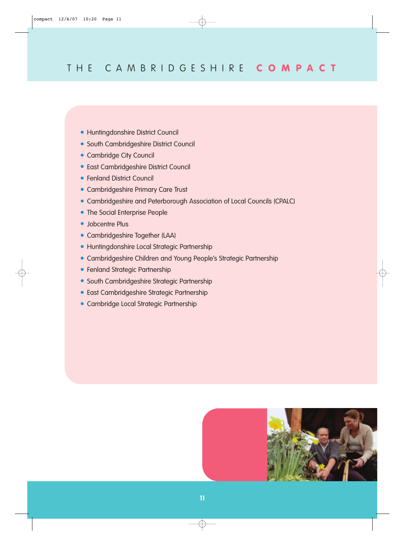- Huntingdonshire District Council
- South Cambridgeshire District Council
- Cambridge City Council
- East Cambridgeshire District Council
- Fenland District Council
- Cambridgeshire Primary Care Trust
- Cambridgeshire and Peterborough Association of Local Councils (CPALC)
- The Social Enterprise People
- Jobcentre Plus
- Cambridgeshire Together (LAA)
- Huntingdonshire Local Strategic Partnership
- Cambridgeshire Children and Young People's Strategic Partnership
- Fenland Strategic Partnership
- South Cambridgeshire Strategic Partnership
- East Cambridgeshire Strategic Partnership
- Cambridge Local Strategic Partnership

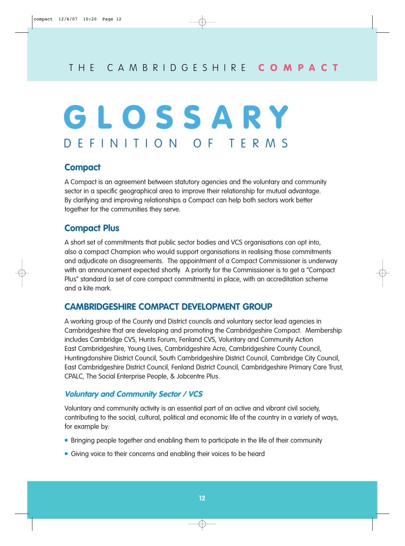## **GLOSSARY** DEFINITION OF TERMS

## **Compact**

A Compact is an agreement between statutory agencies and the voluntary and community sector in a specific geographical area to improve their relationship for mutual advantage. By clarifying and improving relationships a Compact can help both sectors work better together for the communities they serve.

## **Compact Plus**

A short set of commitments that public sector bodies and VCS organisations can opt into, also a compact Champion who would support organisations in realising those commitments and adjudicate on disagreements. The appointment of a Compact Commissioner is underway with an announcement expected shortly. A priority for the Commissioner is to get a "Compact Plus" standard (a set of core compact commitments) in place, with an accreditation scheme and a kite mark.

## **CAMBRIDGESHIRE COMPACT DEVELOPMENT GROUP**

A working group of the County and District councils and voluntary sector lead agencies in Cambridgeshire that are developing and promoting the Cambridgeshire Compact. Membership includes Cambridge CVS, Hunts Forum, Fenland CVS, Voluntary and Community Action East Cambridgeshire, Young Lives, Cambridgeshire Acre, Cambridgeshire County Council, Huntingdonshire District Council, South Cambridgeshire District Council, Cambridge City Council, East Cambridgeshire District Council, Fenland District Council, Cambridgeshire Primary Care Trust, CPALC, The Social Enterprise People, & Jobcentre Plus.

#### **Voluntary and Community Sector / VCS**

Voluntary and community activity is an essential part of an active and vibrant civil society, contributing to the social, cultural, political and economic life of the country in a variety of ways, for example by:

- Bringing people together and enabling them to participate in the life of their community
- Giving voice to their concerns and enabling their voices to be heard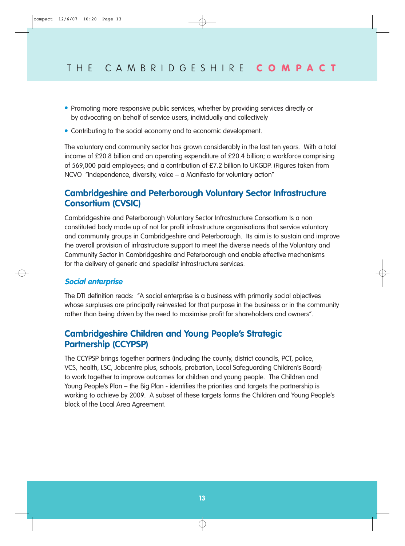- Promoting more responsive public services, whether by providing services directly or by advocating on behalf of service users, individually and collectively
- Contributing to the social economy and to economic development.

The voluntary and community sector has grown considerably in the last ten years. With a total income of £20.8 billion and an operating expenditure of £20.4 billion; a workforce comprising of 569,000 paid employees; and a contribution of £7.2 billion to UKGDP. (Figures taken from NCVO "Independence, diversity, voice – a Manifesto for voluntary action"

## **Cambridgeshire and Peterborough Voluntary Sector Infrastructure Consortium (CVSIC)**

Cambridgeshire and Peterborough Voluntary Sector Infrastructure Consortium Is a non constituted body made up of not for profit infrastructure organisations that service voluntary and community groups in Cambridgeshire and Peterborough. Its aim is to sustain and improve the overall provision of infrastructure support to meet the diverse needs of the Voluntary and Community Sector in Cambridgeshire and Peterborough and enable effective mechanisms for the delivery of generic and specialist infrastructure services.

#### **Social enterprise**

The DTI definition reads: "A social enterprise is a business with primarily social objectives whose surpluses are principally reinvested for that purpose in the business or in the community rather than being driven by the need to maximise profit for shareholders and owners''.

## **Cambridgeshire Children and Young People's Strategic Partnership (CCYPSP)**

The CCYPSP brings together partners (including the county, district councils, PCT, police, VCS, health, LSC, Jobcentre plus, schools, probation, Local Safeguarding Children's Board) to work together to improve outcomes for children and young people. The Children and Young People's Plan – the Big Plan - identifies the priorities and targets the partnership is working to achieve by 2009. A subset of these targets forms the Children and Young People's block of the Local Area Agreement.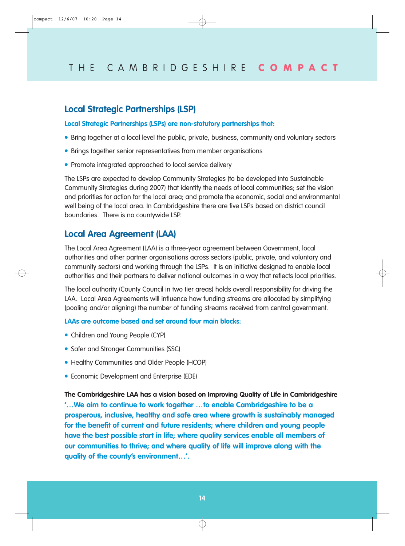#### **Local Strategic Partnerships (LSP)**

**Local Strategic Partnerships (LSPs) are non-statutory partnerships that:**

- Bring together at a local level the public, private, business, community and voluntary sectors
- Brings together senior representatives from member organisations
- Promote integrated approached to local service delivery

The LSPs are expected to develop Community Strategies (to be developed into Sustainable Community Strategies during 2007) that identify the needs of local communities; set the vision and priorities for action for the local area; and promote the economic, social and environmental well being of the local area. In Cambridgeshire there are five LSPs based on district council boundaries. There is no countywide LSP.

#### **Local Area Agreement (LAA)**

The Local Area Agreement (LAA) is a three-year agreement between Government, local authorities and other partner organisations across sectors (public, private, and voluntary and community sectors) and working through the LSPs. It is an initiative designed to enable local authorities and their partners to deliver national outcomes in a way that reflects local priorities.

The local authority (County Council in two tier areas) holds overall responsibility for driving the LAA. Local Area Agreements will influence how funding streams are allocated by simplifying (pooling and/or aligning) the number of funding streams received from central government.

#### **LAAs are outcome based and set around four main blocks:**

- Children and Young People (CYP)
- Safer and Stronger Communities (SSC)
- Healthy Communities and Older People (HCOP)
- Economic Development and Enterprise (EDE)

**The Cambridgeshire LAA has a vision based on Improving Quality of Life in Cambridgeshire '…We aim to continue to work together …to enable Cambridgeshire to be a prosperous, inclusive, healthy and safe area where growth is sustainably managed for the benefit of current and future residents; where children and young people have the best possible start in life; where quality services enable all members of our communities to thrive; and where quality of life will improve along with the quality of the county's environment…'.**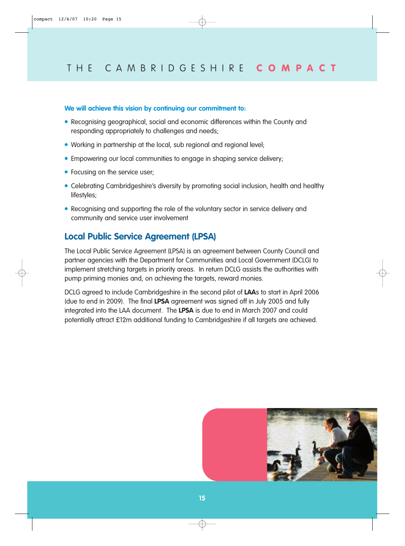#### **We will achieve this vision by continuing our commitment to:**

- Recognising geographical, social and economic differences within the County and responding appropriately to challenges and needs;
- Working in partnership at the local, sub regional and regional level;
- Empowering our local communities to engage in shaping service delivery;
- Focusing on the service user;
- Celebrating Cambridgeshire's diversity by promoting social inclusion, health and healthy lifestyles;
- Recognising and supporting the role of the voluntary sector in service delivery and community and service user involvement

#### **Local Public Service Agreement (LPSA)**

The Local Public Service Agreement (LPSA) is an agreement between County Council and partner agencies with the Department for Communities and Local Government (DCLG) to implement stretching targets in priority areas. In return DCLG assists the authorities with pump priming monies and, on achieving the targets, reward monies.

DCLG agreed to include Cambridgeshire in the second pilot of **LAA**s to start in April 2006 (due to end in 2009). The final **LPSA** agreement was signed off in July 2005 and fully integrated into the LAA document. The **LPSA** is due to end in March 2007 and could potentially attract £12m additional funding to Cambridgeshire if all targets are achieved.